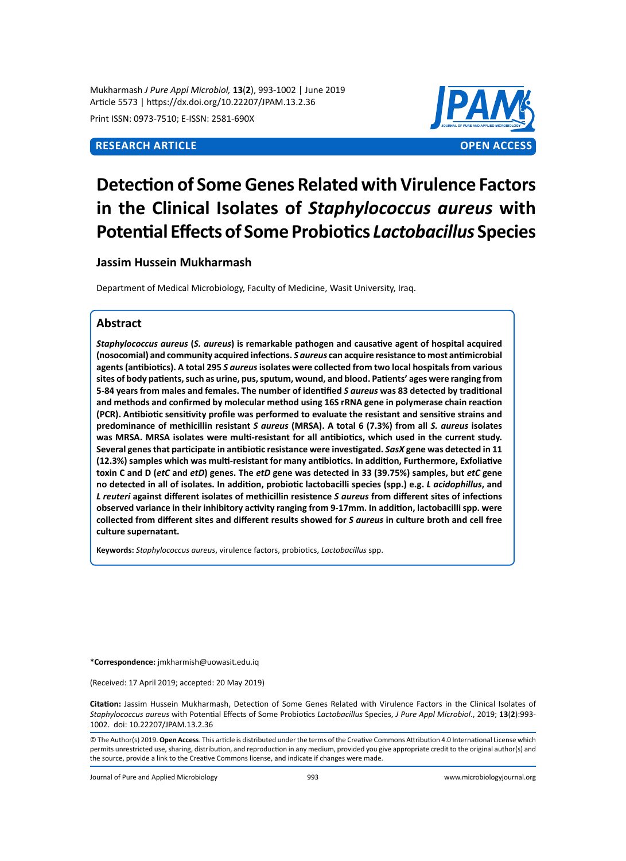Mukharmash *J Pure Appl Microbiol,* **13**(**2**), 993-1002 | June 2019 Article 5573 | https://dx.doi.org/10.22207/JPAM.13.2.36

Print ISSN: 0973-7510; E-ISSN: 2581-690X



# **Detection of Some Genes Related with Virulence Factors in the Clinical Isolates of** *Staphylococcus aureus* **with Potential Effects of Some Probiotics** *Lactobacillus* **Species**

# **Jassim Hussein Mukharmash**

Department of Medical Microbiology, Faculty of Medicine, Wasit University, Iraq.

# **Abstract**

*Staphylococcus aureus* **(***S. aureus***) is remarkable pathogen and causative agent of hospital acquired (nosocomial) and community acquired infections.** *S aureus* **can acquire resistance to most antimicrobial agents (antibiotics). A total 295** *S aureus* **isolates were collected from two local hospitals from various sites of body patients, such as urine, pus, sputum, wound, and blood. Patients' ages were ranging from 5-84 years from males and females. The number of identified** *S aureus* **was 83 detected by traditional and methods and confirmed by molecular method using 16S rRNA gene in polymerase chain reaction (PCR). Antibiotic sensitivity profile was performed to evaluate the resistant and sensitive strains and predominance of methicillin resistant** *S aureus* **(MRSA). A total 6 (7.3%) from all** *S. aureus* **isolates was MRSA. MRSA isolates were multi-resistant for all antibiotics, which used in the current study. Several genes that participate in antibiotic resistance were investigated.** *SasX* **gene was detected in 11 (12.3%) samples which was multi-resistant for many antibiotics. In addition, Furthermore, Exfoliative toxin C and D (***etC* **and** *etD***) genes. The** *etD* **gene was detected in 33 (39.75%) samples, but** *etC* **gene no detected in all of isolates. In addition, probiotic lactobacilli species (spp.) e.g.** *L acidophillus***, and**  *L reuteri* **against different isolates of methicillin resistence** *S aureus* **from different sites of infections observed variance in their inhibitory activity ranging from 9-17mm. In addition, lactobacilli spp. were collected from different sites and different results showed for** *S aureus* **in culture broth and cell free culture supernatant.**

**Keywords:** *Staphylococcus aureus*, virulence factors, probiotics, *Lactobacillus* spp.

**\*Correspondence:** jmkharmish@uowasit.edu.iq

(Received: 17 April 2019; accepted: 20 May 2019)

**Citation:** Jassim Hussein Mukharmash, Detection of Some Genes Related with Virulence Factors in the Clinical Isolates of *Staphylococcus aureus* with Potential Effects of Some Probiotics *Lactobacillus* Species, *J Pure Appl Microbiol*., 2019; **13**(**2**):993- 1002. doi: 10.22207/JPAM.13.2.36

© The Author(s) 2019. **Open Access**. This article is distributed under the terms of the Creative Commons Attribution 4.0 International License which permits unrestricted use, sharing, distribution, and reproduction in any medium, provided you give appropriate credit to the original author(s) and the source, provide a link to the Creative Commons license, and indicate if changes were made.

Journal of Pure and Applied Microbiology 993 www.microbiologyjournal.org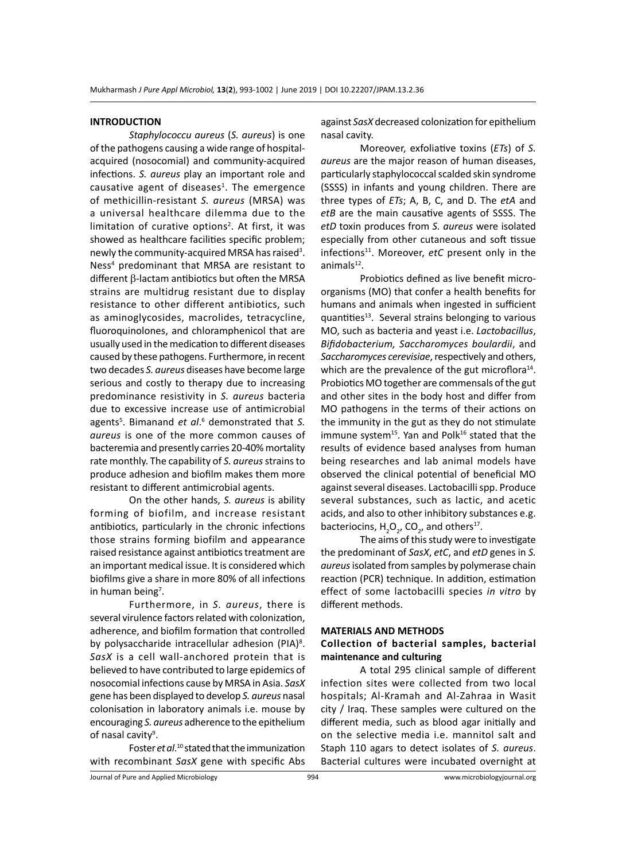#### **INTRODUCTION**

*Staphylococcu aureus* (*S. aureus*) is one of the pathogens causing a wide range of hospitalacquired (nosocomial) and community-acquired infections. *S. aureus* play an important role and causative agent of diseases<sup>1</sup>. The emergence of methicillin-resistant *S. aureus* (MRSA) was a universal healthcare dilemma due to the limitation of curative options<sup>2</sup>. At first, it was showed as healthcare facilities specific problem; newly the community-acquired MRSA has raised<sup>3</sup>. Ness4 predominant that MRSA are resistant to different β-lactam antibiotics but often the MRSA strains are multidrug resistant due to display resistance to other different antibiotics, such as aminoglycosides, macrolides, tetracycline, fluoroquinolones, and chloramphenicol that are usually used in the medication to different diseases caused by these pathogens. Furthermore, in recent two decades *S. aureus* diseases have become large serious and costly to therapy due to increasing predominance resistivity in *S. aureus* bacteria due to excessive increase use of antimicrobial agents<sup>5</sup>. Bimanand et al.<sup>6</sup> demonstrated that S. *aureus* is one of the more common causes of bacteremia and presently carries 20-40% mortality rate monthly. The capability of *S. aureus* strains to produce adhesion and biofilm makes them more resistant to different antimicrobial agents.

On the other hands, *S. aureus* is ability forming of biofilm, and increase resistant antibiotics, particularly in the chronic infections those strains forming biofilm and appearance raised resistance against antibiotics treatment are an important medical issue. It is considered which biofilms give a share in more 80% of all infections in human being<sup>7</sup>.

Furthermore, in *S. aureus*, there is several virulence factors related with colonization, adherence, and biofilm formation that controlled by polysaccharide intracellular adhesion (PIA)<sup>8</sup>. *SasX* is a cell wall-anchored protein that is believed to have contributed to large epidemics of nosocomial infections cause by MRSA in Asia. *SasX* gene has been displayed to develop *S. aureus* nasal colonisation in laboratory animals i.e. mouse by encouraging *S. aureus* adherence to the epithelium of nasal cavity<sup>9</sup>.

Foster *et al*. <sup>10</sup> stated that the immunization with recombinant *SasX* gene with specific Abs

against *SasX* decreased colonization for epithelium nasal cavity.

Moreover, exfoliative toxins (*ETs*) of *S. aureus* are the major reason of human diseases, particularly staphylococcal scalded skin syndrome (SSSS) in infants and young children. There are three types of *ETs*; A, B, C, and D. The *etA* and *etB* are the main causative agents of SSSS. The *etD* toxin produces from *S. aureus* were isolated especially from other cutaneous and soft tissue infections<sup>11</sup>. Moreover, *etC* present only in the  $animals^{12}$ .

Probiotics defined as live benefit microorganisms (MO) that confer a health benefits for humans and animals when ingested in sufficient quantities $13$ . Several strains belonging to various MO, such as bacteria and yeast i.e. *Lactobacillus*, *Bifidobacterium, Saccharomyces boulardii*, and *Saccharomyces cerevisiae*, respectively and others, which are the prevalence of the gut microflora<sup>14</sup>. Probiotics MO together are commensals of the gut and other sites in the body host and differ from MO pathogens in the terms of their actions on the immunity in the gut as they do not stimulate immune system<sup>15</sup>. Yan and Polk<sup>16</sup> stated that the results of evidence based analyses from human being researches and lab animal models have observed the clinical potential of beneficial MO against several diseases. Lactobacilli spp. Produce several substances, such as lactic, and acetic acids, and also to other inhibitory substances e.g. bacteriocins,  $H_2O_2$ , CO<sub>2</sub>, and others<sup>17</sup>.

The aims of this study were to investigate the predominant of *SasX*, *etC*, and *etD* genes in *S. aureus* isolated from samples by polymerase chain reaction (PCR) technique. In addition, estimation effect of some lactobacilli species *in vitro* by different methods.

## **MATERIALS AND METHODS Collection of bacterial samples, bacterial maintenance and culturing**

A total 295 clinical sample of different infection sites were collected from two local hospitals; Al-Kramah and Al-Zahraa in Wasit city / Iraq. These samples were cultured on the different media, such as blood agar initially and on the selective media i.e. mannitol salt and Staph 110 agars to detect isolates of *S. aureus*. Bacterial cultures were incubated overnight at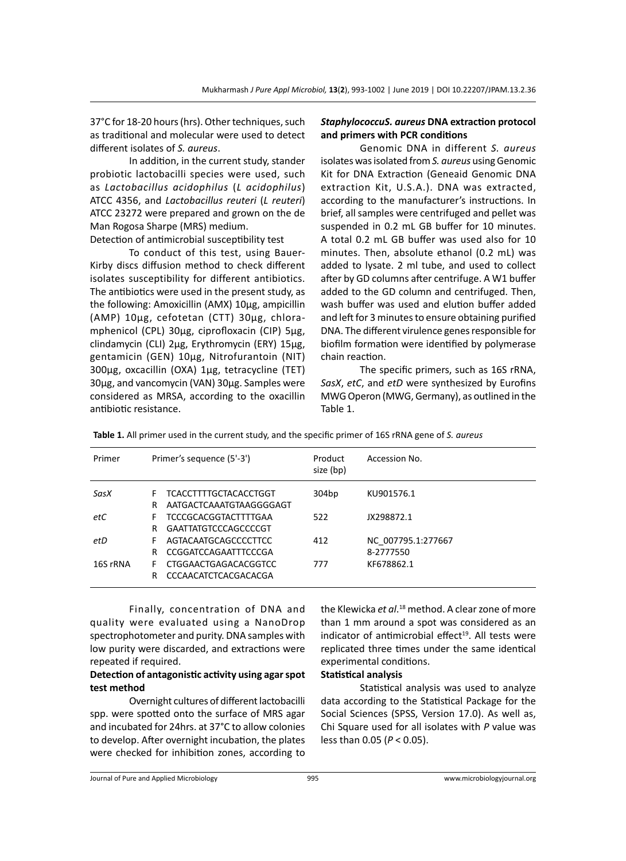37°C for 18-20 hours (hrs). Other techniques, such as traditional and molecular were used to detect different isolates of *S. aureus*.

In addition, in the current study, stander probiotic lactobacilli species were used, such as *Lactobacillus acidophilus* (*L acidophilus*) ATCC 4356, and *Lactobacillus reuteri* (*L reuteri*) ATCC 23272 were prepared and grown on the de Man Rogosa Sharpe (MRS) medium.

Detection of antimicrobial susceptibility test

To conduct of this test, using Bauer-Kirby discs diffusion method to check different isolates susceptibility for different antibiotics. The antibiotics were used in the present study, as the following: Amoxicillin (AMX) 10µg, ampicillin (AMP) 10µg, cefotetan (CTT) 30µg, chloramphenicol (CPL) 30µg, ciprofloxacin (CIP) 5µg, clindamycin (CLI) 2µg, Erythromycin (ERY) 15µg, gentamicin (GEN) 10µg, Nitrofurantoin (NIT) 300µg, oxcacillin (OXA) 1µg, tetracycline (TET) 30µg, and vancomycin (VAN) 30µg. Samples were considered as MRSA, according to the oxacillin antibiotic resistance.

# *StaphylococcuS. aureus* **DNA extraction protocol and primers with PCR conditions**

Genomic DNA in different *S. aureus* isolates was isolated from *S. aureus* using Genomic Kit for DNA Extraction (Geneaid Genomic DNA extraction Kit, U.S.A.). DNA was extracted, according to the manufacturer's instructions. In brief, all samples were centrifuged and pellet was suspended in 0.2 mL GB buffer for 10 minutes. A total 0.2 mL GB buffer was used also for 10 minutes. Then, absolute ethanol (0.2 mL) was added to lysate. 2 ml tube, and used to collect after by GD columns after centrifuge. A W1 buffer added to the GD column and centrifuged. Then, wash buffer was used and elution buffer added and left for 3 minutes to ensure obtaining purified DNA. The different virulence genes responsible for biofilm formation were identified by polymerase chain reaction.

The specific primers, such as 16S rRNA, *SasX*, *etC*, and *etD* were synthesized by Eurofins MWG Operon (MWG, Germany), as outlined in the Table 1.

| Primer   | Primer's sequence (5'-3') |                                                         | Product<br>size (bp) | Accession No.                   |
|----------|---------------------------|---------------------------------------------------------|----------------------|---------------------------------|
| SasX     | F.<br>R                   | <b>TCACCTTTTGCTACACCTGGT</b><br>AATGACTCAAATGTAAGGGGAGT | 304bp                | KU901576.1                      |
| etC      | F.<br>R                   | <b>TCCCGCACGGTACTTTTGAA</b><br>GAATTATGTCCCAGCCCCGT     | 522                  | JX298872.1                      |
| etD      | F.<br>R                   | AGTACAATGCAGCCCCTTCC<br>CCGGATCCAGAATTTCCCGA            | 412                  | NC 007795.1:277667<br>8-2777550 |
| 16S rRNA | F.<br>R                   | CTGGAACTGAGACACGGTCC<br>CCCAACATCTCACGACACGA            | 777                  | KF678862.1                      |

**Table 1.** All primer used in the current study, and the specific primer of 16S rRNA gene of *S. aureus*

Finally, concentration of DNA and quality were evaluated using a NanoDrop spectrophotometer and purity. DNA samples with low purity were discarded, and extractions were repeated if required.

# **Detection of antagonistic activity using agar spot test method**

Overnight cultures of different lactobacilli spp. were spotted onto the surface of MRS agar and incubated for 24hrs. at 37°C to allow colonies to develop. After overnight incubation, the plates were checked for inhibition zones, according to

the Klewicka *et al*. 18 method. A clear zone of more than 1 mm around a spot was considered as an indicator of antimicrobial effect<sup>19</sup>. All tests were replicated three times under the same identical experimental conditions.

# **Statistical analysis**

Statistical analysis was used to analyze data according to the Statistical Package for the Social Sciences (SPSS, Version 17.0). As well as, Chi Square used for all isolates with *P* value was less than 0.05 (*P* < 0.05).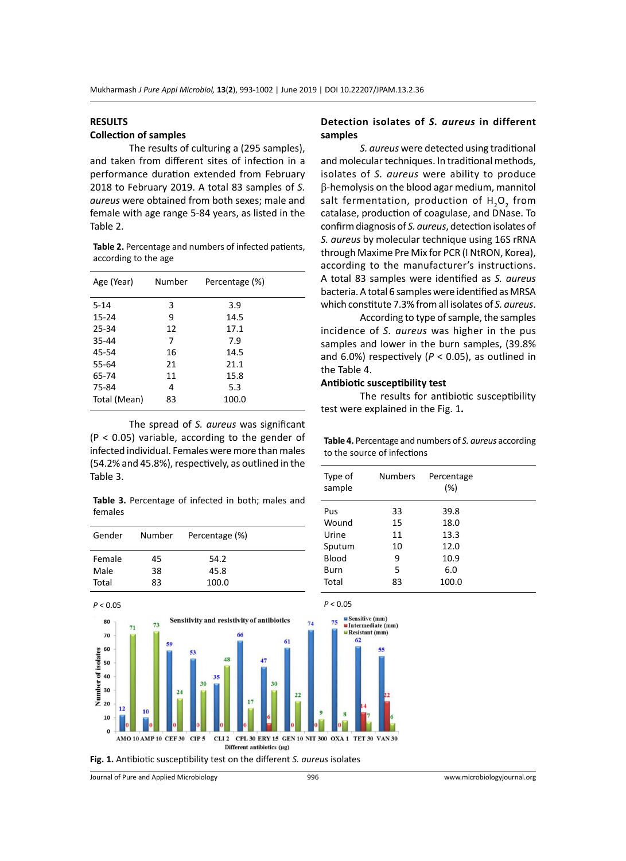#### **RESULTS**

# **Collection of samples**

The results of culturing a (295 samples), and taken from different sites of infection in a performance duration extended from February 2018 to February 2019. A total 83 samples of *S. aureus* were obtained from both sexes; male and female with age range 5-84 years, as listed in the Table 2.

**Table 2.** Percentage and numbers of infected patients, according to the age

| Age (Year)   | Number | Percentage (%) |  |
|--------------|--------|----------------|--|
| $5 - 14$     | 3      | 3.9            |  |
| $15 - 24$    | 9      | 14.5           |  |
| 25-34        | 12     | 17.1           |  |
| 35-44        | 7      | 7.9            |  |
| 45-54        | 16     | 14.5           |  |
| 55-64        | 21     | 21.1           |  |
| 65-74        | 11     | 15.8           |  |
| 75-84        | 4      | 5.3            |  |
| Total (Mean) | 83     | 100.0          |  |

The spread of *S. aureus* was significant (P < 0.05) variable, according to the gender of infected individual. Females were more than males (54.2% and 45.8%), respectively, as outlined in the Table 3.

**Table 3.** Percentage of infected in both; males and females

| Gender | Number | Percentage (%) |  |
|--------|--------|----------------|--|
| Female | 45     | 54.2           |  |
| Male   | 38     | 45.8           |  |
| Total  | 83     | 100.0          |  |

#### **Detection isolates of** *S. aureus* **in different samples**

*S. aureus* were detected using traditional and molecular techniques. In traditional methods, isolates of *S. aureus* were ability to produce β-hemolysis on the blood agar medium, mannitol salt fermentation, production of  ${\sf H}_{\sf_2}{\sf O}_{\sf_2}$  from catalase, production of coagulase, and DNase. To confirm diagnosis of *S. aureus*, detection isolates of *S. aureus* by molecular technique using 16S rRNA through Maxime Pre Mix for PCR (I NtRON, Korea), according to the manufacturer's instructions. A total 83 samples were identified as *S. aureus* bacteria. A total 6 samples were identified as MRSA which constitute 7.3% from all isolates of *S. aureus*.

According to type of sample, the samples incidence of *S. aureus* was higher in the pus samples and lower in the burn samples, (39.8% and 6.0%) respectively ( $P < 0.05$ ), as outlined in the Table 4.

#### **Antibiotic susceptibility test**

The results for antibiotic susceptibility test were explained in the Fig. 1**.**

**Table 4.** Percentage and numbers of *S. aureus* according to the source of infections

| Type of<br>sample | <b>Numbers</b> | Percentage<br>(%) |  |
|-------------------|----------------|-------------------|--|
| Pus               | 33             | 39.8              |  |
| Wound             | 15             | 18.0              |  |
| Urine             | 11             | 13.3              |  |
| Sputum            | 10             | 12.0              |  |
| Blood             | 9              | 10.9              |  |
| Burn              | 5              | 6.0               |  |
| Total             | 83             | 100.0             |  |



**Fig. 1.** Antibiotic susceptibility test on the different *S. aureus* isolates

Journal of Pure and Applied Microbiology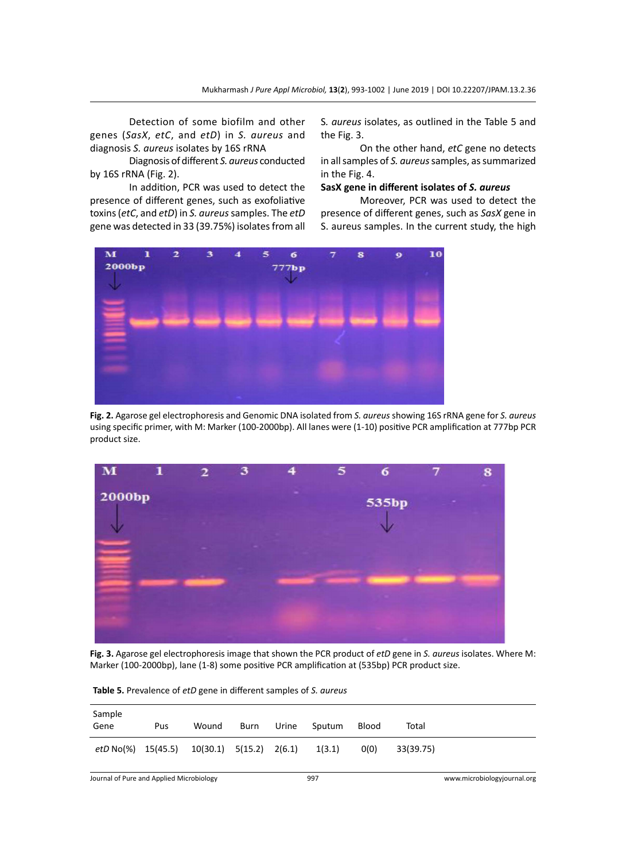Detection of some biofilm and other genes (*SasX*, *etC*, and *etD*) in *S. aureus* and diagnosis *S. aureus* isolates by 16S rRNA

Diagnosis of different *S. aureus* conducted by 16S rRNA (Fig. 2).

In addition, PCR was used to detect the presence of different genes, such as exofoliative toxins (*etC*, and *etD*) in *S. aureus* samples. The *etD* gene was detected in 33 (39.75%) isolates from all S*. aureus* isolates, as outlined in the Table 5 and the Fig. 3.

On the other hand, *etC* gene no detects in all samples of *S. aureus* samples, as summarized in the Fig. 4.

### **SasX gene in different isolates of** *S. aureus*

Moreover, PCR was used to detect the presence of different genes, such as *SasX* gene in S. aureus samples. In the current study, the high



**Fig. 2.** Agarose gel electrophoresis and Genomic DNA isolated from *S. aureus* showing 16S rRNA gene for *S. aureus*  using specific primer, with M: Marker (100-2000bp). All lanes were (1-10) positive PCR amplification at 777bp PCR product size.



**Fig. 3.** Agarose gel electrophoresis image that shown the PCR product of *etD* gene in *S. aureus* isolates. Where M: Marker (100-2000bp), lane (1-8) some positive PCR amplification at (535bp) PCR product size.

| Sample<br>Gene                           | Pus | Wound                         | Burn | Urine | Sputum | <b>Blood</b> | Total     |                             |
|------------------------------------------|-----|-------------------------------|------|-------|--------|--------------|-----------|-----------------------------|
| $etD$ No(%) $15(45.5)$                   |     | $10(30.1)$ $5(15.2)$ $2(6.1)$ |      |       | 1(3.1) | O(0)         | 33(39.75) |                             |
| Journal of Pure and Applied Microbiology |     |                               |      |       | 997    |              |           | www.microbiologyjournal.org |

**Table 5.** Prevalence of *etD* gene in different samples of *S. aureus*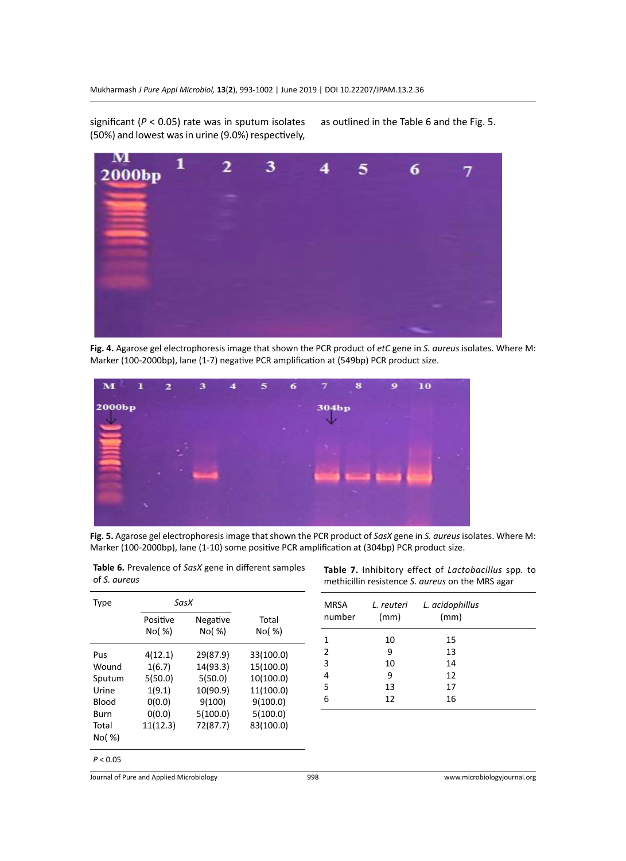significant (*P* < 0.05) rate was in sputum isolates (50%) and lowest was in urine (9.0%) respectively,

as outlined in the Table 6 and the Fig. 5.



**Fig. 4.** Agarose gel electrophoresis image that shown the PCR product of *etC* gene in *S. aureus* isolates. Where M: Marker (100-2000bp), lane (1-7) negative PCR amplification at (549bp) PCR product size.



**Fig. 5.** Agarose gel electrophoresis image that shown the PCR product of *SasX* gene in *S. aureus* isolates. Where M: Marker (100-2000bp), lane (1-10) some positive PCR amplification at (304bp) PCR product size.

| Type         | SasX     |          |           |
|--------------|----------|----------|-----------|
|              | Positive | Negative | Total     |
|              | No( %)   | No( %)   | No( %)    |
| Pus          | 4(12.1)  | 29(87.9) | 33(100.0) |
| Wound        | 1(6.7)   | 14(93.3) | 15(100.0) |
| Sputum       | 5(50.0)  | 5(50.0)  | 10(100.0) |
| Urine        | 1(9.1)   | 10(90.9) | 11(100.0) |
| <b>Blood</b> | 0(0.0)   | 9(100)   | 9(100.0)  |
| Burn         | 0(0.0)   | 5(100.0) | 5(100.0)  |
| Total        | 11(12.3) | 72(87.7) | 83(100.0) |
| No( %)       |          |          |           |
|              |          |          |           |

**Table 6.** Prevalence of *SasX* gene in different samples of *S. aureus*

**Table 7.** Inhibitory effect of *Lactobacillus* spp*.* to methicillin resistence *S. aureus* on the MRS agar

| MRSA<br>number | (mm) | L. reuteri L. acidophillus<br>(mm) |  |
|----------------|------|------------------------------------|--|
| 1              | 10   | 15                                 |  |
| $\overline{2}$ | 9    | 13                                 |  |
| 3              | 10   | 14                                 |  |
| 4              | 9    | 12                                 |  |
| 5              | 13   | 17                                 |  |
| 6              | 12   | 16                                 |  |

 $P < 0.05$ 

Journal of Pure and Applied Microbiology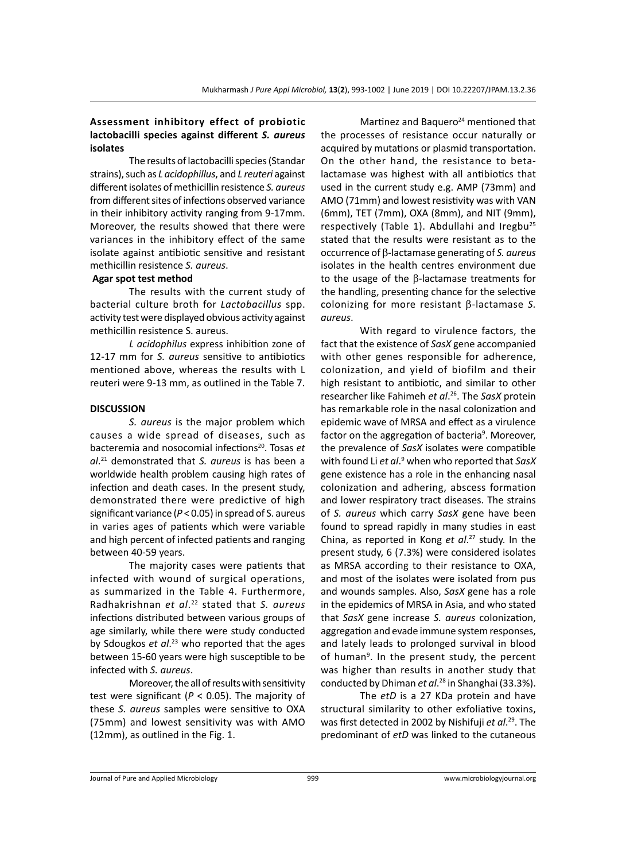### **Assessment inhibitory effect of probiotic lactobacilli species against different** *S. aureus* **isolates**

The results of lactobacilli species (Standar strains), such as *L acidophillus*, and *L reuteri* against different isolates of methicillin resistence *S. aureus* from different sites of infections observed variance in their inhibitory activity ranging from 9-17mm. Moreover, the results showed that there were variances in the inhibitory effect of the same isolate against antibiotic sensitive and resistant methicillin resistence *S. aureus*.

#### **Agar spot test method**

The results with the current study of bacterial culture broth for *Lactobacillus* spp. activity test were displayed obvious activity against methicillin resistence S. aureus.

*L acidophilus* express inhibition zone of 12-17 mm for *S. aureus* sensitive to antibiotics mentioned above, whereas the results with L reuteri were 9-13 mm, as outlined in the Table 7.

#### **DISCUSSION**

*S. aureus* is the major problem which causes a wide spread of diseases, such as bacteremia and nosocomial infections<sup>20</sup>. Tosas *et al*. 21 demonstrated that *S. aureus* is has been a worldwide health problem causing high rates of infection and death cases. In the present study, demonstrated there were predictive of high significant variance (*P* < 0.05) in spread of S. aureus in varies ages of patients which were variable and high percent of infected patients and ranging between 40-59 years.

The majority cases were patients that infected with wound of surgical operations, as summarized in the Table 4. Furthermore, Radhakrishnan *et al*. 22 stated that *S. aureus* infections distributed between various groups of age similarly, while there were study conducted by Sdougkos *et al*. 23 who reported that the ages between 15-60 years were high susceptible to be infected with *S. aureus*.

Moreover, the all of results with sensitivity test were significant (*P* < 0.05). The majority of these *S. aureus* samples were sensitive to OXA (75mm) and lowest sensitivity was with AMO (12mm), as outlined in the Fig. 1.

Martinez and Baquero $^{24}$  mentioned that the processes of resistance occur naturally or acquired by mutations or plasmid transportation. On the other hand, the resistance to betalactamase was highest with all antibiotics that used in the current study e.g. AMP (73mm) and AMO (71mm) and lowest resistivity was with VAN (6mm), TET (7mm), OXA (8mm), and NIT (9mm), respectively (Table 1). Abdullahi and Iregbu<sup>25</sup> stated that the results were resistant as to the occurrence of β-lactamase generating of *S. aureus* isolates in the health centres environment due to the usage of the β-lactamase treatments for the handling, presenting chance for the selective colonizing for more resistant β-lactamase *S. aureus*.

With regard to virulence factors, the fact that the existence of *SasX* gene accompanied with other genes responsible for adherence, colonization, and yield of biofilm and their high resistant to antibiotic, and similar to other researcher like Fahimeh *et al*. 26. The *SasX* protein has remarkable role in the nasal colonization and epidemic wave of MRSA and effect as a virulence factor on the aggregation of bacteria<sup>9</sup>. Moreover, the prevalence of *SasX* isolates were compatible with found Li *et al*. 9 when who reported that *SasX* gene existence has a role in the enhancing nasal colonization and adhering, abscess formation and lower respiratory tract diseases. The strains of *S. aureus* which carry *SasX* gene have been found to spread rapidly in many studies in east China, as reported in Kong *et al*. <sup>27</sup> study. In the present study, 6 (7.3%) were considered isolates as MRSA according to their resistance to OXA, and most of the isolates were isolated from pus and wounds samples. Also, *SasX* gene has a role in the epidemics of MRSA in Asia, and who stated that *SasX* gene increase *S. aureus* colonization, aggregation and evade immune system responses, and lately leads to prolonged survival in blood of human<sup>9</sup>. In the present study, the percent was higher than results in another study that conducted by Dhiman *et al*. 28 in Shanghai (33.3%).

The *etD* is a 27 KDa protein and have structural similarity to other exfoliative toxins, was first detected in 2002 by Nishifuji *et al*. 29. The predominant of *etD* was linked to the cutaneous

Journal of Pure and Applied Microbiology 999 www.microbiologyjournal.org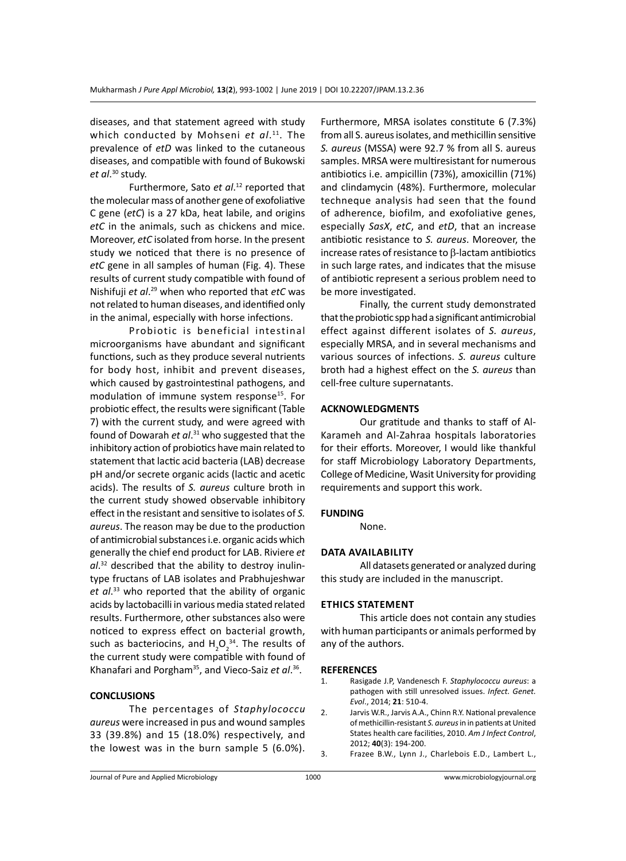diseases, and that statement agreed with study which conducted by Mohseni et al.<sup>11</sup>. The prevalence of *etD* was linked to the cutaneous diseases, and compatible with found of Bukowski *et al*. 30 study.

Furthermore, Sato *et al*. 12 reported that the molecular mass of another gene of exofoliative C gene (*etC*) is a 27 kDa, heat labile, and origins *etC* in the animals, such as chickens and mice. Moreover, *etC* isolated from horse. In the present study we noticed that there is no presence of *etC* gene in all samples of human (Fig. 4). These results of current study compatible with found of Nishifuji *et al*. 29 when who reported that *etC* was not related to human diseases, and identified only in the animal, especially with horse infections.

Probiotic is beneficial intestinal microorganisms have abundant and significant functions, such as they produce several nutrients for body host, inhibit and prevent diseases, which caused by gastrointestinal pathogens, and modulation of immune system response<sup>15</sup>. For probiotic effect, the results were significant (Table 7) with the current study, and were agreed with found of Dowarah *et al*. 31 who suggested that the inhibitory action of probiotics have main related to statement that lactic acid bacteria (LAB) decrease pH and/or secrete organic acids (lactic and acetic acids). The results of *S. aureus* culture broth in the current study showed observable inhibitory effect in the resistant and sensitive to isolates of *S. aureus*. The reason may be due to the production of antimicrobial substances i.e. organic acids which generally the chief end product for LAB. Riviere *et al*. 32 described that the ability to destroy inulintype fructans of LAB isolates and Prabhujeshwar *et al*. <sup>33</sup> who reported that the ability of organic acids by lactobacilli in various media stated related results. Furthermore, other substances also were noticed to express effect on bacterial growth, such as bacteriocins, and  $H_2O_2^{34}$ . The results of the current study were compatible with found of Khanafari and Porgham35, and Vieco-Saiz *et al*. 36.

#### **CONCLUSIONS**

The percentages of *Staphylococcu aureus* were increased in pus and wound samples 33 (39.8%) and 15 (18.0%) respectively, and the lowest was in the burn sample 5 (6.0%).

Furthermore, MRSA isolates constitute 6 (7.3%) from all S. aureus isolates, and methicillin sensitive *S. aureus* (MSSA) were 92.7 % from all S. aureus samples. MRSA were multiresistant for numerous antibiotics i.e. ampicillin (73%), amoxicillin (71%) and clindamycin (48%). Furthermore, molecular techneque analysis had seen that the found of adherence, biofilm, and exofoliative genes, especially *SasX*, *etC*, and *etD*, that an increase antibiotic resistance to *S. aureus*. Moreover, the increase rates of resistance to β-lactam antibiotics in such large rates, and indicates that the misuse of antibiotic represent a serious problem need to be more investigated.

Finally, the current study demonstrated that the probiotic spp had a significant antimicrobial effect against different isolates of *S. aureus*, especially MRSA, and in several mechanisms and various sources of infections. *S. aureus* culture broth had a highest effect on the *S. aureus* than cell-free culture supernatants.

#### **ACKNOWLEDGMENTS**

Our gratitude and thanks to staff of Al-Karameh and Al-Zahraa hospitals laboratories for their efforts. Moreover, I would like thankful for staff Microbiology Laboratory Departments, College of Medicine, Wasit University for providing requirements and support this work.

#### **FUNDING**

None.

#### **Data availability**

All datasets generated or analyzed during this study are included in the manuscript.

#### **Ethics Statement**

This article does not contain any studies with human participants or animals performed by any of the authors.

#### **REFERENCES**

- 1. Rasigade J.P, Vandenesch F. *Staphylococcu aureus*: a pathogen with still unresolved issues. *Infect. Genet. Evol*., 2014; **21**: 510-4.
- 2. Jarvis W.R., Jarvis A.A., Chinn R.Y. National prevalence of methicillin-resistant *S. aureus* in in patients at United States health care facilities, 2010. *Am J Infect Control*, 2012; **40**(3): 194-200.
- 3. Frazee B.W., Lynn J., Charlebois E.D., Lambert L.,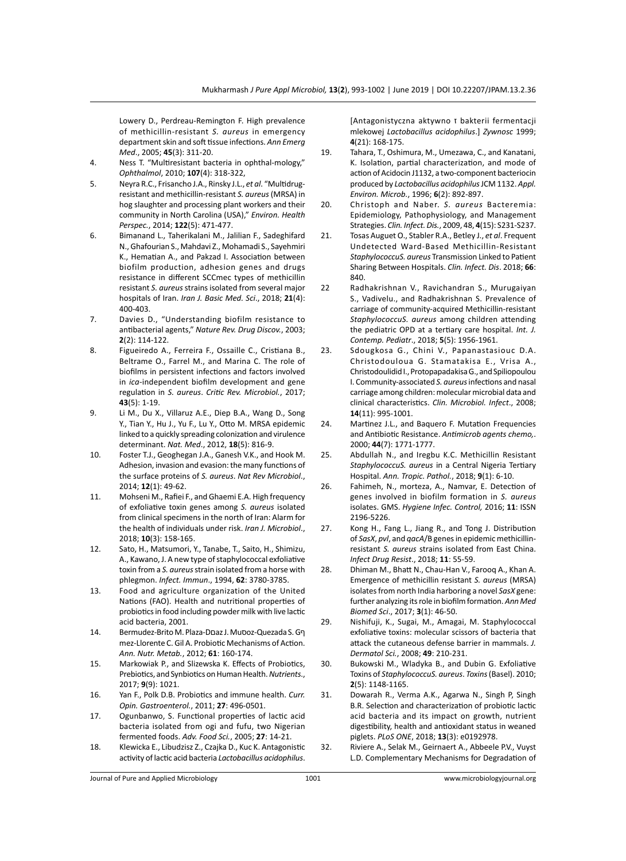Lowery D., Perdreau-Remington F. High prevalence of methicillin-resistant *S. aureus* in emergency department skin and soft tissue infections. *Ann Emerg Med*., 2005; **45**(3): 311-20.

- 4. Ness T. "Multiresistant bacteria in ophthal-mology," *Ophthalmol*, 2010; **107**(4): 318-322,
- 5. Neyra R.C., Frisancho J.A., Rinsky J.L., *et al*. "Multidrugresistant and methicillin-resistant *S. aureus* (MRSA) in hog slaughter and processing plant workers and their community in North Carolina (USA)," *Environ. Health Perspec.*, 2014; **122**(5): 471-477.
- 6. Bimanand L., Taherikalani M., Jalilian F., Sadeghifard N., Ghafourian S., Mahdavi Z., Mohamadi S., Sayehmiri K., Hematian A., and Pakzad I. Association between biofilm production, adhesion genes and drugs resistance in different SCCmec types of methicillin resistant *S. aureus* strains isolated from several major hospitals of Iran. *Iran J. Basic Med. Sci*., 2018; **21**(4): 400-403.
- 7. Davies D., "Understanding biofilm resistance to antibacterial agents," *Nature Rev. Drug Discov.*, 2003; **2**(2): 114-122.
- 8. Figueiredo A., Ferreira F., Ossaille C., Cristiana B., Beltrame O., Farrel M., and Marina C. The role of biofilms in persistent infections and factors involved in *ica*-independent biofilm development and gene regulation in *S. aureus*. *Critic Rev. Microbiol.*, 2017; **43**(5): 1-19.
- 9. Li M., Du X., Villaruz A.E., Diep B.A., Wang D., Song Y., Tian Y., Hu J., Yu F., Lu Y., Otto M. MRSA epidemic linked to a quickly spreading colonization and virulence determinant. *Nat. Med*., 2012, **18**(5): 816-9.
- 10. Foster T.J., Geoghegan J.A., Ganesh V.K., and Hook M. Adhesion, invasion and evasion: the many functions of the surface proteins of *S. aureus*. *Nat Rev Microbiol*., 2014; **12**(1): 49-62.
- 11. Mohseni M., Rafiei F., and Ghaemi E.A. High frequency of exfoliative toxin genes among *S. aureus* isolated from clinical specimens in the north of Iran: Alarm for the health of individuals under risk. *Iran J. Microbiol*., 2018; **10**(3): 158-165.
- 12. Sato, H., Matsumori, Y., Tanabe, T., Saito, H., Shimizu, A., Kawano, J. A new type of staphylococcal exfoliative toxin from a *S. aureus* strain isolated from a horse with phlegmon. *Infect. Immun*., 1994, **62**: 3780-3785.
- 13. Food and agriculture organization of the United Nations (FAO). Health and nutritional properties of probiotics in food including powder milk with live lactic acid bacteria, 2001.
- 14. Bermudez-Brito M. Plaza-Dםaz J. Muסoz-Quezada S. Gף mez-Llorente C. Gil A. Probiotic Mechanisms of Action. *Ann. Nutr. Metab.*, 2012; **61**: 160-174.
- 15. Markowiak P., and Slizewska K. Effects of Probiotics, Prebiotics, and Synbiotics on Human Health. *Nutrients*., 2017; **9**(9): 1021.
- 16. Yan F., Polk D.B. Probiotics and immune health. *Curr. Opin. Gastroenterol.*, 2011; **27**: 496-0501.
- 17. Ogunbanwo, S. Functional properties of lactic acid bacteria isolated from ogi and fufu, two Nigerian fermented foods. *Adv. Food Sci.*, 2005; **27**: 14-21.
- 18. Klewicka E., Libudzisz Z., Czajka D., Kuc K. Antagonistic activity of lactic acid bacteria *Lactobacillus acidophilus*.

[Antagonistyczna aktywno ז bakterii fermentacji mlekowej *Lactobacillus acidophilus*.] *Zywnosc* 1999; **4**(21): 168-175.

- 19. Tahara, T., Oshimura, M., Umezawa, C., and Kanatani, K. Isolation, partial characterization, and mode of action of Acidocin J1132, a two-component bacteriocin produced by *Lactobacillus acidophilus* JCM 1132. *Appl. Environ. Microb.*, 1996; **6**(2): 892-897.
- 20. Christoph and Naber. *S. aureus* Bacteremia: Epidemiology, Pathophysiology, and Management Strategies. *Clin. Infect. Dis.*, 2009, 48, **4**(15): S231-S237.
- 21. Tosas Auguet O., Stabler R.A., Betley J., *et al*. Frequent Undetected Ward-Based Methicillin-Resistant *StaphylococcuS. aureus* Transmission Linked to Patient Sharing Between Hospitals. *Clin. Infect. Dis*. 2018; **66**: 840.
- 22 Radhakrishnan V., Ravichandran S., Murugaiyan S., Vadivelu., and Radhakrishnan S. Prevalence of carriage of community-acquired Methicillin-resistant *StaphylococcuS. aureus* among children attending the pediatric OPD at a tertiary care hospital. *Int. J. Contemp. Pediatr*., 2018; **5**(5): 1956-1961.
- 23. Sdougkosa G., Chini V., Papanastasiouc D.A. Christodouloua G. Stamatakisa E., Vrisa A., Christodoulidid I., Protopapadakisa G., and Spiliopoulou I. Community-associated *S. aureus* infections and nasal carriage among children: molecular microbial data and clinical characteristics. *Clin. Microbiol. Infect*., 2008; **14**(11): 995-1001.
- 24. Martinez J.L., and Baquero F. Mutation Frequencies and Antibiotic Resistance. *Antimicrob agents chemo,*. 2000; **44**(7): 1771-1777.
- 25. Abdullah N., and Iregbu K.C. Methicillin Resistant *StaphylococcuS. aureus* in a Central Nigeria Tertiary Hospital. *Ann. Tropic. Pathol.*, 2018; **9**(1): 6-10.
- 26. Fahimeh, N., morteza, A., Namvar, E. Detection of genes involved in biofilm formation in *S. aureus*  isolates. GMS. *Hygiene Infec. Control,* 2016; **11**: ISSN 2196-5226.
- 27. Kong H., Fang L., Jiang R., and Tong J. Distribution of *SasX*, *pvl*, and *qacA*/B genes in epidemic methicillinresistant *S. aureus* strains isolated from East China. *Infect Drug Resist*., 2018; **11**: 55-59.
- 28. Dhiman M., Bhatt N., Chau-Han V., Farooq A., Khan A. Emergence of methicillin resistant *S. aureus* (MRSA) isolates from north India harboring a novel *SasX* gene: further analyzing its role in biofilm formation. *Ann Med Biomed Sci*., 2017; **3**(1): 46-50.
- 29. Nishifuji, K., Sugai, M., Amagai, M. Staphylococcal exfoliative toxins: molecular scissors of bacteria that attack the cutaneous defense barrier in mammals. *J. Dermatol Sci.*, 2008; **49**: 210-231.
- 30. Bukowski M., Wladyka B., and Dubin G. Exfoliative Toxins of *StaphylococcuS. aureus*. *Toxins* (Basel). 2010; **2**(5): 1148-1165.
- 31. Dowarah R., Verma A.K., Agarwa N., Singh P, Singh B.R. Selection and characterization of probiotic lactic acid bacteria and its impact on growth, nutrient digestibility, health and antioxidant status in weaned piglets. *PLoS ONE*, 2018; **13**(3): e0192978.
- 32. Riviere A., Selak M., Geirnaert A., Abbeele P.V., Vuyst L.D. Complementary Mechanisms for Degradation of

Journal of Pure and Applied Microbiology 1001 www.microbiologyjournal.org